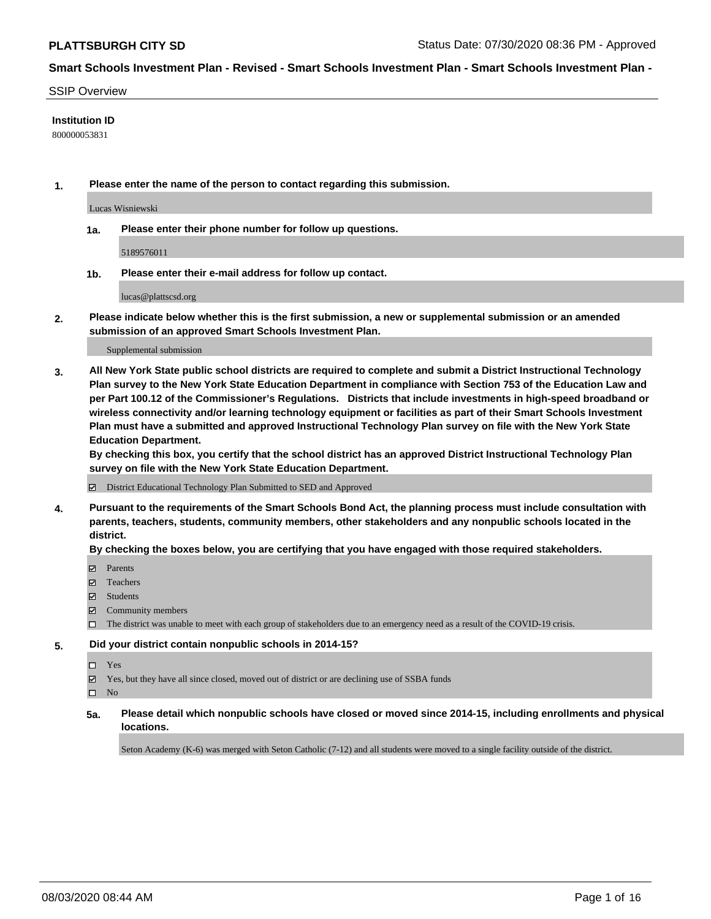#### SSIP Overview

## **Institution ID**

800000053831

**1. Please enter the name of the person to contact regarding this submission.**

Lucas Wisniewski

**1a. Please enter their phone number for follow up questions.**

5189576011

**1b. Please enter their e-mail address for follow up contact.**

lucas@plattscsd.org

**2. Please indicate below whether this is the first submission, a new or supplemental submission or an amended submission of an approved Smart Schools Investment Plan.**

#### Supplemental submission

**3. All New York State public school districts are required to complete and submit a District Instructional Technology Plan survey to the New York State Education Department in compliance with Section 753 of the Education Law and per Part 100.12 of the Commissioner's Regulations. Districts that include investments in high-speed broadband or wireless connectivity and/or learning technology equipment or facilities as part of their Smart Schools Investment Plan must have a submitted and approved Instructional Technology Plan survey on file with the New York State Education Department.** 

**By checking this box, you certify that the school district has an approved District Instructional Technology Plan survey on file with the New York State Education Department.**

District Educational Technology Plan Submitted to SED and Approved

**4. Pursuant to the requirements of the Smart Schools Bond Act, the planning process must include consultation with parents, teachers, students, community members, other stakeholders and any nonpublic schools located in the district.** 

#### **By checking the boxes below, you are certifying that you have engaged with those required stakeholders.**

- **Parents**
- Teachers
- Students
- $\boxtimes$  Community members
- The district was unable to meet with each group of stakeholders due to an emergency need as a result of the COVID-19 crisis.

#### **5. Did your district contain nonpublic schools in 2014-15?**

- Yes
- Yes, but they have all since closed, moved out of district or are declining use of SSBA funds

 $\square$  No

**5a. Please detail which nonpublic schools have closed or moved since 2014-15, including enrollments and physical locations.**

Seton Academy (K-6) was merged with Seton Catholic (7-12) and all students were moved to a single facility outside of the district.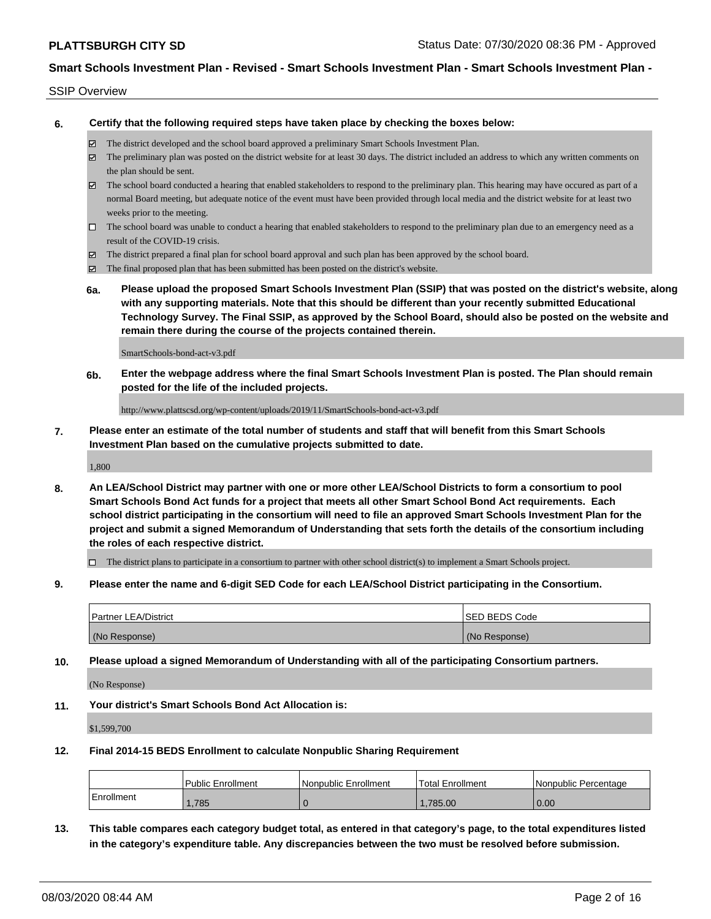### SSIP Overview

**6. Certify that the following required steps have taken place by checking the boxes below:**

- The district developed and the school board approved a preliminary Smart Schools Investment Plan.
- The preliminary plan was posted on the district website for at least 30 days. The district included an address to which any written comments on the plan should be sent.
- The school board conducted a hearing that enabled stakeholders to respond to the preliminary plan. This hearing may have occured as part of a normal Board meeting, but adequate notice of the event must have been provided through local media and the district website for at least two weeks prior to the meeting.
- $\Box$  The school board was unable to conduct a hearing that enabled stakeholders to respond to the preliminary plan due to an emergency need as a result of the COVID-19 crisis.
- The district prepared a final plan for school board approval and such plan has been approved by the school board.
- $\boxtimes$  The final proposed plan that has been submitted has been posted on the district's website.
- **6a. Please upload the proposed Smart Schools Investment Plan (SSIP) that was posted on the district's website, along with any supporting materials. Note that this should be different than your recently submitted Educational Technology Survey. The Final SSIP, as approved by the School Board, should also be posted on the website and remain there during the course of the projects contained therein.**

SmartSchools-bond-act-v3.pdf

**6b. Enter the webpage address where the final Smart Schools Investment Plan is posted. The Plan should remain posted for the life of the included projects.**

http://www.plattscsd.org/wp-content/uploads/2019/11/SmartSchools-bond-act-v3.pdf

**7. Please enter an estimate of the total number of students and staff that will benefit from this Smart Schools Investment Plan based on the cumulative projects submitted to date.**

1,800

**8. An LEA/School District may partner with one or more other LEA/School Districts to form a consortium to pool Smart Schools Bond Act funds for a project that meets all other Smart School Bond Act requirements. Each school district participating in the consortium will need to file an approved Smart Schools Investment Plan for the project and submit a signed Memorandum of Understanding that sets forth the details of the consortium including the roles of each respective district.**

 $\Box$  The district plans to participate in a consortium to partner with other school district(s) to implement a Smart Schools project.

**9. Please enter the name and 6-digit SED Code for each LEA/School District participating in the Consortium.**

| <b>Partner LEA/District</b> | <b>ISED BEDS Code</b> |
|-----------------------------|-----------------------|
| (No Response)               | (No Response)         |

**10. Please upload a signed Memorandum of Understanding with all of the participating Consortium partners.**

(No Response)

**11. Your district's Smart Schools Bond Act Allocation is:**

\$1,599,700

#### **12. Final 2014-15 BEDS Enrollment to calculate Nonpublic Sharing Requirement**

|            | <b>Public Enrollment</b> | l Nonpublic Enrollment | <b>Total Enrollment</b> | l Nonpublic Percentage |
|------------|--------------------------|------------------------|-------------------------|------------------------|
| Enrollment | ,785                     |                        | .785.00                 | 0.00                   |

**13. This table compares each category budget total, as entered in that category's page, to the total expenditures listed in the category's expenditure table. Any discrepancies between the two must be resolved before submission.**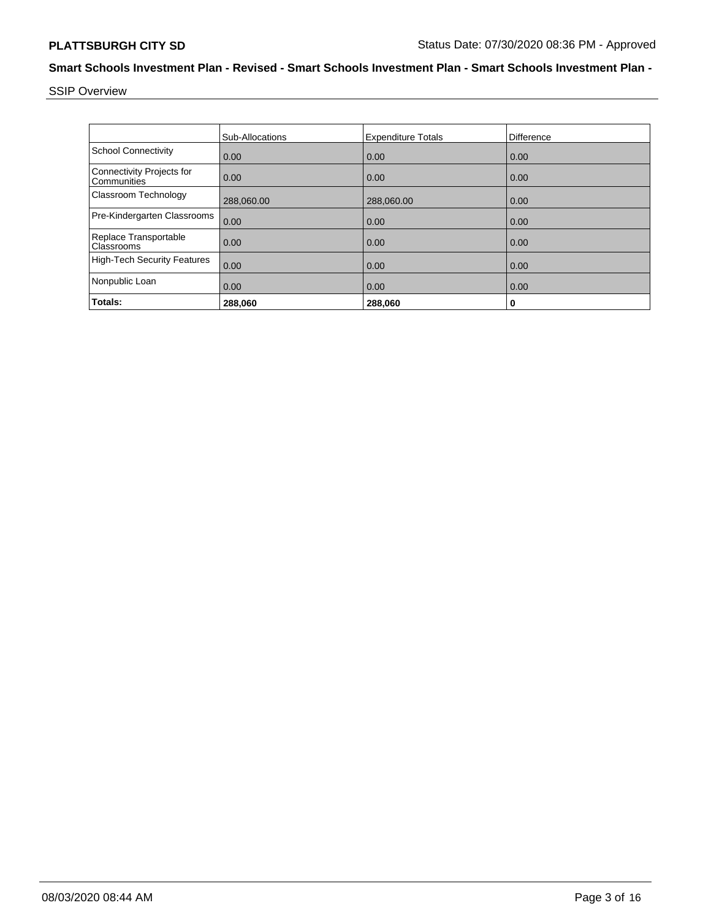SSIP Overview

|                                          | <b>Sub-Allocations</b> | <b>Expenditure Totals</b> | Difference |
|------------------------------------------|------------------------|---------------------------|------------|
| <b>School Connectivity</b>               | 0.00                   | 0.00                      | 0.00       |
| Connectivity Projects for<br>Communities | 0.00                   | 0.00                      | 0.00       |
| Classroom Technology                     | 288,060.00             | 288,060.00                | 0.00       |
| Pre-Kindergarten Classrooms              | 0.00                   | 0.00                      | 0.00       |
| Replace Transportable<br>Classrooms      | 0.00                   | 0.00                      | 0.00       |
| <b>High-Tech Security Features</b>       | 0.00                   | 0.00                      | 0.00       |
| Nonpublic Loan                           | 0.00                   | 0.00                      | 0.00       |
| Totals:                                  | 288,060                | 288,060                   | 0          |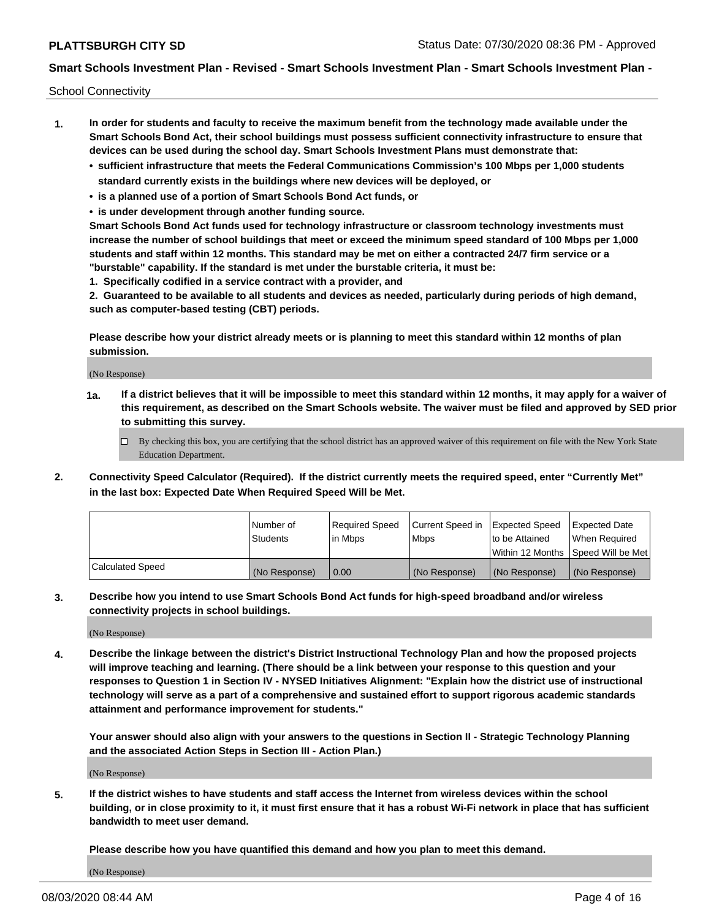School Connectivity

- **1. In order for students and faculty to receive the maximum benefit from the technology made available under the Smart Schools Bond Act, their school buildings must possess sufficient connectivity infrastructure to ensure that devices can be used during the school day. Smart Schools Investment Plans must demonstrate that:**
	- **• sufficient infrastructure that meets the Federal Communications Commission's 100 Mbps per 1,000 students standard currently exists in the buildings where new devices will be deployed, or**
	- **• is a planned use of a portion of Smart Schools Bond Act funds, or**
	- **• is under development through another funding source.**

**Smart Schools Bond Act funds used for technology infrastructure or classroom technology investments must increase the number of school buildings that meet or exceed the minimum speed standard of 100 Mbps per 1,000 students and staff within 12 months. This standard may be met on either a contracted 24/7 firm service or a "burstable" capability. If the standard is met under the burstable criteria, it must be:**

**1. Specifically codified in a service contract with a provider, and**

**2. Guaranteed to be available to all students and devices as needed, particularly during periods of high demand, such as computer-based testing (CBT) periods.**

**Please describe how your district already meets or is planning to meet this standard within 12 months of plan submission.**

(No Response)

**1a. If a district believes that it will be impossible to meet this standard within 12 months, it may apply for a waiver of this requirement, as described on the Smart Schools website. The waiver must be filed and approved by SED prior to submitting this survey.**

 $\Box$  By checking this box, you are certifying that the school district has an approved waiver of this requirement on file with the New York State Education Department.

**2. Connectivity Speed Calculator (Required). If the district currently meets the required speed, enter "Currently Met" in the last box: Expected Date When Required Speed Will be Met.**

|                  | l Number of     | Reauired Speed | Current Speed in | Expected Speed | Expected Date                       |
|------------------|-----------------|----------------|------------------|----------------|-------------------------------------|
|                  | <b>Students</b> | l in Mbps      | l Mbps           | to be Attained | When Required                       |
|                  |                 |                |                  |                | Within 12 Months ISpeed Will be Met |
| Calculated Speed | (No Response)   | 0.00           | (No Response)    | (No Response)  | (No Response)                       |

**3. Describe how you intend to use Smart Schools Bond Act funds for high-speed broadband and/or wireless connectivity projects in school buildings.**

(No Response)

**4. Describe the linkage between the district's District Instructional Technology Plan and how the proposed projects will improve teaching and learning. (There should be a link between your response to this question and your responses to Question 1 in Section IV - NYSED Initiatives Alignment: "Explain how the district use of instructional technology will serve as a part of a comprehensive and sustained effort to support rigorous academic standards attainment and performance improvement for students."** 

**Your answer should also align with your answers to the questions in Section II - Strategic Technology Planning and the associated Action Steps in Section III - Action Plan.)**

(No Response)

**5. If the district wishes to have students and staff access the Internet from wireless devices within the school building, or in close proximity to it, it must first ensure that it has a robust Wi-Fi network in place that has sufficient bandwidth to meet user demand.**

**Please describe how you have quantified this demand and how you plan to meet this demand.**

(No Response)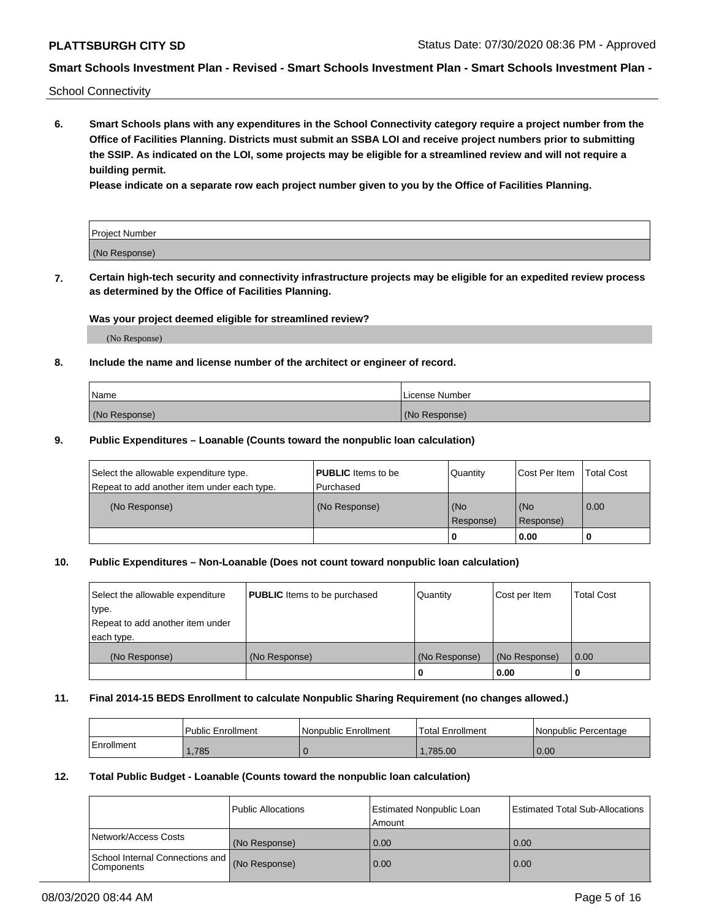School Connectivity

**6. Smart Schools plans with any expenditures in the School Connectivity category require a project number from the Office of Facilities Planning. Districts must submit an SSBA LOI and receive project numbers prior to submitting the SSIP. As indicated on the LOI, some projects may be eligible for a streamlined review and will not require a building permit.**

**Please indicate on a separate row each project number given to you by the Office of Facilities Planning.**

| Project Number |  |
|----------------|--|
| (No Response)  |  |

**7. Certain high-tech security and connectivity infrastructure projects may be eligible for an expedited review process as determined by the Office of Facilities Planning.**

### **Was your project deemed eligible for streamlined review?**

(No Response)

## **8. Include the name and license number of the architect or engineer of record.**

| Name          | License Number |
|---------------|----------------|
| (No Response) | (No Response)  |

### **9. Public Expenditures – Loanable (Counts toward the nonpublic loan calculation)**

| Select the allowable expenditure type.<br>Repeat to add another item under each type. | <b>PUBLIC</b> Items to be<br>l Purchased | Quantity             | Cost Per Item    | <b>Total Cost</b> |
|---------------------------------------------------------------------------------------|------------------------------------------|----------------------|------------------|-------------------|
| (No Response)                                                                         | (No Response)                            | l (No<br>l Response) | (No<br>Response) | $\overline{0.00}$ |
|                                                                                       |                                          | 0                    | 0.00             |                   |

## **10. Public Expenditures – Non-Loanable (Does not count toward nonpublic loan calculation)**

| Select the allowable expenditure<br>type.<br>Repeat to add another item under<br>each type. | <b>PUBLIC</b> Items to be purchased | Quantity      | Cost per Item | <b>Total Cost</b> |
|---------------------------------------------------------------------------------------------|-------------------------------------|---------------|---------------|-------------------|
| (No Response)                                                                               | (No Response)                       | (No Response) | (No Response) | 0.00              |
|                                                                                             |                                     |               | 0.00          |                   |

#### **11. Final 2014-15 BEDS Enrollment to calculate Nonpublic Sharing Requirement (no changes allowed.)**

|            | Public Enrollment | l Nonpublic Enrollment | <b>Total Enrollment</b> | Nonpublic Percentage |
|------------|-------------------|------------------------|-------------------------|----------------------|
| Enrollment | .785              |                        | .785.00                 | 0.00                 |

#### **12. Total Public Budget - Loanable (Counts toward the nonpublic loan calculation)**

|                                               | Public Allocations | <b>Estimated Nonpublic Loan</b><br>Amount | Estimated Total Sub-Allocations |
|-----------------------------------------------|--------------------|-------------------------------------------|---------------------------------|
| Network/Access Costs                          | (No Response)      | 0.00                                      | 0.00                            |
| School Internal Connections and<br>Components | (No Response)      | 0.00                                      | 0.00                            |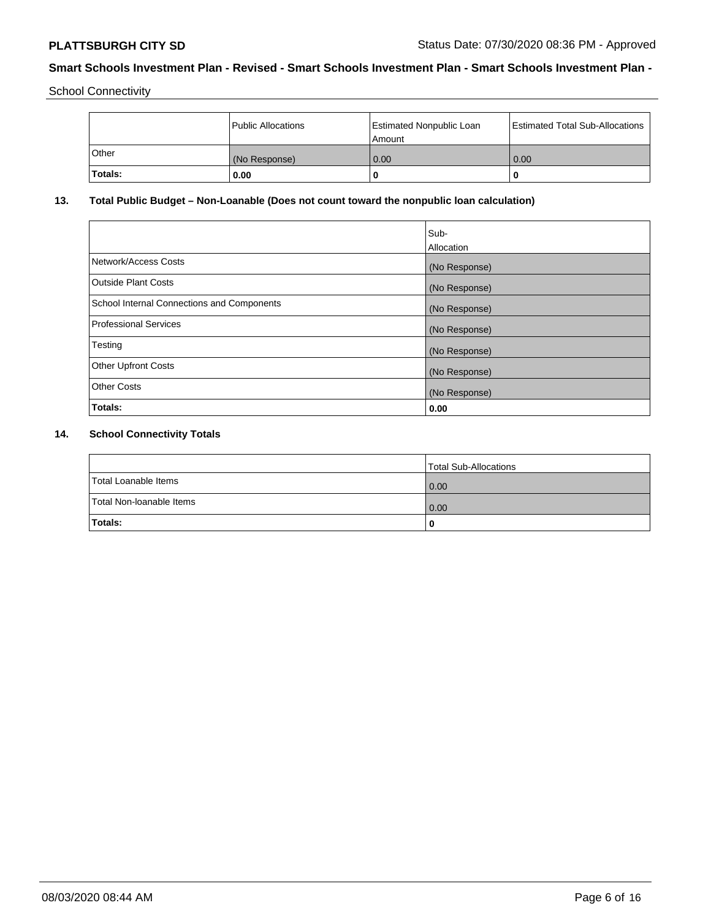School Connectivity

|                | Public Allocations | <b>Estimated Nonpublic Loan</b><br>l Amount | <b>Estimated Total Sub-Allocations</b> |
|----------------|--------------------|---------------------------------------------|----------------------------------------|
| l Other        | (No Response)      | 0.00                                        | 0.00                                   |
| <b>Totals:</b> | 0.00               | 0                                           |                                        |

# **13. Total Public Budget – Non-Loanable (Does not count toward the nonpublic loan calculation)**

|                                                   | Sub-<br>Allocation |
|---------------------------------------------------|--------------------|
| Network/Access Costs                              | (No Response)      |
| Outside Plant Costs                               | (No Response)      |
| <b>School Internal Connections and Components</b> | (No Response)      |
| Professional Services                             | (No Response)      |
| Testing                                           | (No Response)      |
| <b>Other Upfront Costs</b>                        | (No Response)      |
| <b>Other Costs</b>                                | (No Response)      |
| Totals:                                           | 0.00               |

# **14. School Connectivity Totals**

|                          | Total Sub-Allocations |
|--------------------------|-----------------------|
| Total Loanable Items     | 0.00                  |
| Total Non-Ioanable Items | 0.00                  |
| Totals:                  | 0                     |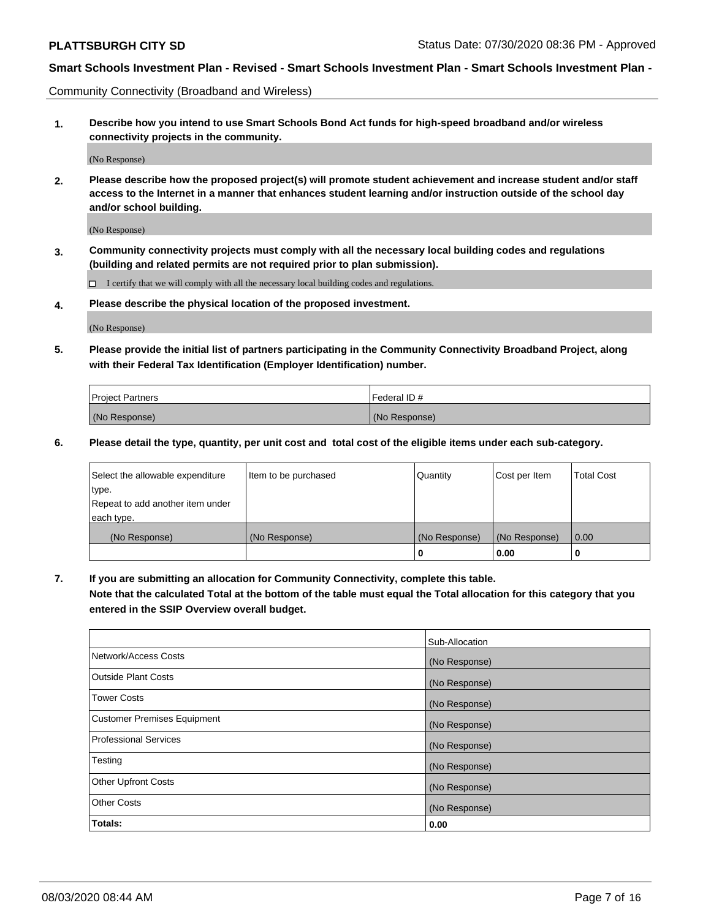Community Connectivity (Broadband and Wireless)

**1. Describe how you intend to use Smart Schools Bond Act funds for high-speed broadband and/or wireless connectivity projects in the community.**

(No Response)

**2. Please describe how the proposed project(s) will promote student achievement and increase student and/or staff access to the Internet in a manner that enhances student learning and/or instruction outside of the school day and/or school building.**

(No Response)

**3. Community connectivity projects must comply with all the necessary local building codes and regulations (building and related permits are not required prior to plan submission).**

 $\Box$  I certify that we will comply with all the necessary local building codes and regulations.

**4. Please describe the physical location of the proposed investment.**

(No Response)

**5. Please provide the initial list of partners participating in the Community Connectivity Broadband Project, along with their Federal Tax Identification (Employer Identification) number.**

| <b>Project Partners</b> | l Federal ID # |
|-------------------------|----------------|
| (No Response)           | (No Response)  |

**6. Please detail the type, quantity, per unit cost and total cost of the eligible items under each sub-category.**

| Select the allowable expenditure | Item to be purchased | Quantity      | Cost per Item | <b>Total Cost</b> |
|----------------------------------|----------------------|---------------|---------------|-------------------|
| type.                            |                      |               |               |                   |
| Repeat to add another item under |                      |               |               |                   |
| each type.                       |                      |               |               |                   |
| (No Response)                    | (No Response)        | (No Response) | (No Response) | 0.00              |
|                                  |                      | o             | 0.00          |                   |

**7. If you are submitting an allocation for Community Connectivity, complete this table.**

**Note that the calculated Total at the bottom of the table must equal the Total allocation for this category that you entered in the SSIP Overview overall budget.**

|                                    | Sub-Allocation |
|------------------------------------|----------------|
| Network/Access Costs               | (No Response)  |
| Outside Plant Costs                | (No Response)  |
| <b>Tower Costs</b>                 | (No Response)  |
| <b>Customer Premises Equipment</b> | (No Response)  |
| <b>Professional Services</b>       | (No Response)  |
| Testing                            | (No Response)  |
| <b>Other Upfront Costs</b>         | (No Response)  |
| <b>Other Costs</b>                 | (No Response)  |
| Totals:                            | 0.00           |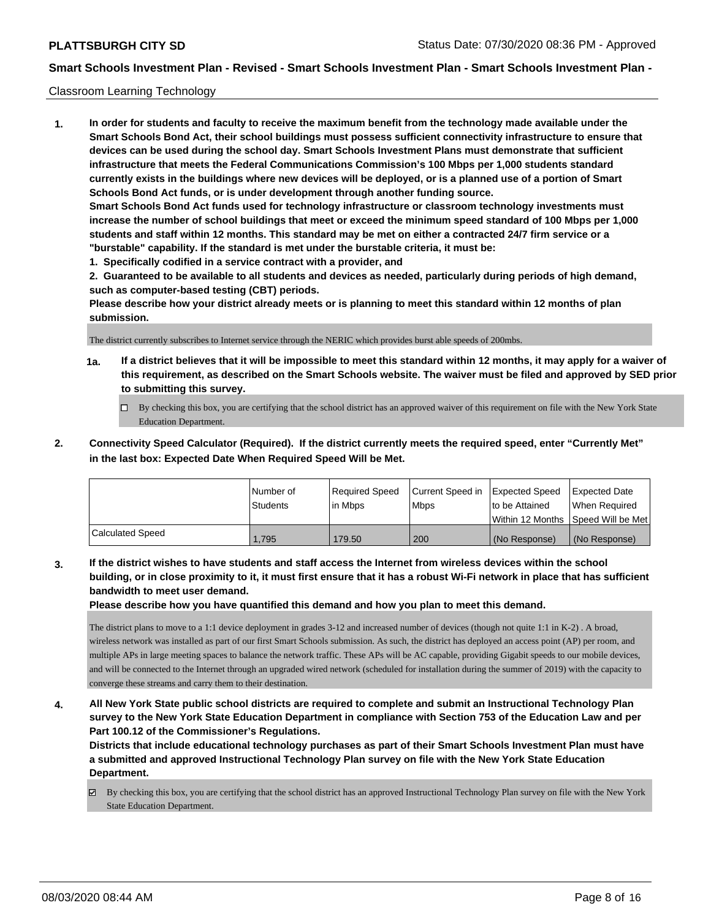## Classroom Learning Technology

**1. In order for students and faculty to receive the maximum benefit from the technology made available under the Smart Schools Bond Act, their school buildings must possess sufficient connectivity infrastructure to ensure that devices can be used during the school day. Smart Schools Investment Plans must demonstrate that sufficient infrastructure that meets the Federal Communications Commission's 100 Mbps per 1,000 students standard currently exists in the buildings where new devices will be deployed, or is a planned use of a portion of Smart Schools Bond Act funds, or is under development through another funding source. Smart Schools Bond Act funds used for technology infrastructure or classroom technology investments must increase the number of school buildings that meet or exceed the minimum speed standard of 100 Mbps per 1,000 students and staff within 12 months. This standard may be met on either a contracted 24/7 firm service or a "burstable" capability. If the standard is met under the burstable criteria, it must be:**

**1. Specifically codified in a service contract with a provider, and**

**2. Guaranteed to be available to all students and devices as needed, particularly during periods of high demand, such as computer-based testing (CBT) periods.**

**Please describe how your district already meets or is planning to meet this standard within 12 months of plan submission.**

The district currently subscribes to Internet service through the NERIC which provides burst able speeds of 200mbs.

- **1a. If a district believes that it will be impossible to meet this standard within 12 months, it may apply for a waiver of this requirement, as described on the Smart Schools website. The waiver must be filed and approved by SED prior to submitting this survey.**
	- By checking this box, you are certifying that the school district has an approved waiver of this requirement on file with the New York State Education Department.
- **2. Connectivity Speed Calculator (Required). If the district currently meets the required speed, enter "Currently Met" in the last box: Expected Date When Required Speed Will be Met.**

|                  | l Number of     | Required Speed | Current Speed in Expected Speed |                 | <b>Expected Date</b>                 |
|------------------|-----------------|----------------|---------------------------------|-----------------|--------------------------------------|
|                  | <b>Students</b> | l in Mbps      | <b>Mbps</b>                     | to be Attained  | When Required                        |
|                  |                 |                |                                 |                 | Within 12 Months 1Speed Will be Met1 |
| Calculated Speed | 1.795           | 179.50         | 200                             | l (No Response) | (No Response)                        |

**3. If the district wishes to have students and staff access the Internet from wireless devices within the school building, or in close proximity to it, it must first ensure that it has a robust Wi-Fi network in place that has sufficient bandwidth to meet user demand.**

**Please describe how you have quantified this demand and how you plan to meet this demand.**

The district plans to move to a 1:1 device deployment in grades 3-12 and increased number of devices (though not quite 1:1 in K-2) . A broad, wireless network was installed as part of our first Smart Schools submission. As such, the district has deployed an access point (AP) per room, and multiple APs in large meeting spaces to balance the network traffic. These APs will be AC capable, providing Gigabit speeds to our mobile devices, and will be connected to the Internet through an upgraded wired network (scheduled for installation during the summer of 2019) with the capacity to converge these streams and carry them to their destination.

**4. All New York State public school districts are required to complete and submit an Instructional Technology Plan survey to the New York State Education Department in compliance with Section 753 of the Education Law and per Part 100.12 of the Commissioner's Regulations.**

**Districts that include educational technology purchases as part of their Smart Schools Investment Plan must have a submitted and approved Instructional Technology Plan survey on file with the New York State Education Department.**

By checking this box, you are certifying that the school district has an approved Instructional Technology Plan survey on file with the New York State Education Department.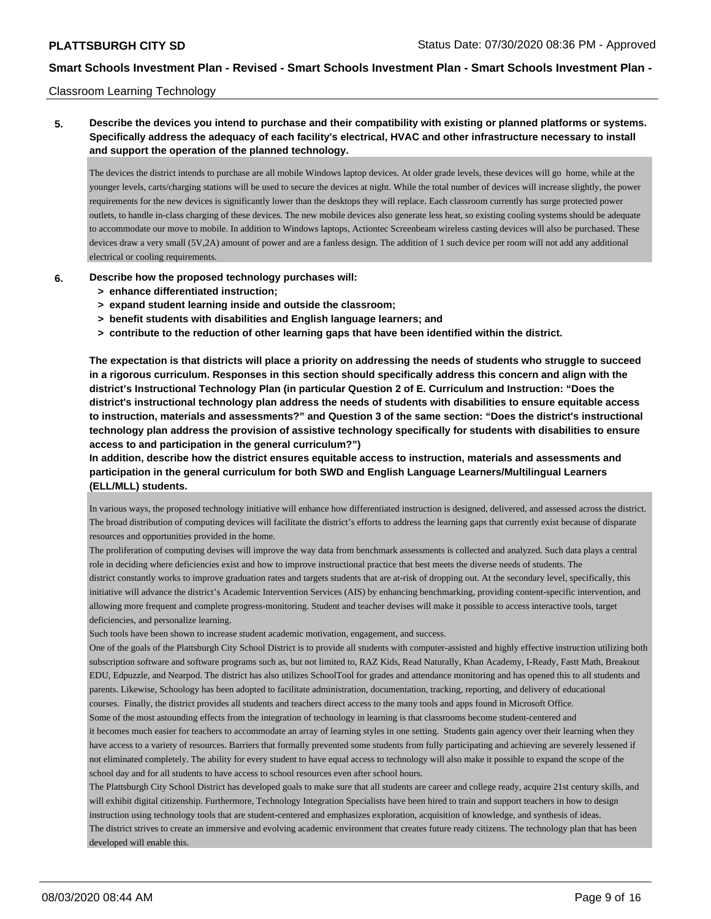## Classroom Learning Technology

# **5. Describe the devices you intend to purchase and their compatibility with existing or planned platforms or systems. Specifically address the adequacy of each facility's electrical, HVAC and other infrastructure necessary to install and support the operation of the planned technology.**

The devices the district intends to purchase are all mobile Windows laptop devices. At older grade levels, these devices will go home, while at the younger levels, carts/charging stations will be used to secure the devices at night. While the total number of devices will increase slightly, the power requirements for the new devices is significantly lower than the desktops they will replace. Each classroom currently has surge protected power outlets, to handle in-class charging of these devices. The new mobile devices also generate less heat, so existing cooling systems should be adequate to accommodate our move to mobile. In addition to Windows laptops, Actiontec Screenbeam wireless casting devices will also be purchased. These devices draw a very small (5V,2A) amount of power and are a fanless design. The addition of 1 such device per room will not add any additional electrical or cooling requirements.

## **6. Describe how the proposed technology purchases will:**

- **> enhance differentiated instruction;**
- **> expand student learning inside and outside the classroom;**
- **> benefit students with disabilities and English language learners; and**
- **> contribute to the reduction of other learning gaps that have been identified within the district.**

**The expectation is that districts will place a priority on addressing the needs of students who struggle to succeed in a rigorous curriculum. Responses in this section should specifically address this concern and align with the district's Instructional Technology Plan (in particular Question 2 of E. Curriculum and Instruction: "Does the district's instructional technology plan address the needs of students with disabilities to ensure equitable access to instruction, materials and assessments?" and Question 3 of the same section: "Does the district's instructional technology plan address the provision of assistive technology specifically for students with disabilities to ensure access to and participation in the general curriculum?")**

**In addition, describe how the district ensures equitable access to instruction, materials and assessments and participation in the general curriculum for both SWD and English Language Learners/Multilingual Learners (ELL/MLL) students.**

In various ways, the proposed technology initiative will enhance how differentiated instruction is designed, delivered, and assessed across the district. The broad distribution of computing devices will facilitate the district's efforts to address the learning gaps that currently exist because of disparate resources and opportunities provided in the home.

The proliferation of computing devises will improve the way data from benchmark assessments is collected and analyzed. Such data plays a central role in deciding where deficiencies exist and how to improve instructional practice that best meets the diverse needs of students. The district constantly works to improve graduation rates and targets students that are at-risk of dropping out. At the secondary level, specifically, this initiative will advance the district's Academic Intervention Services (AIS) by enhancing benchmarking, providing content-specific intervention, and allowing more frequent and complete progress-monitoring. Student and teacher devises will make it possible to access interactive tools, target deficiencies, and personalize learning.

Such tools have been shown to increase student academic motivation, engagement, and success.

One of the goals of the Plattsburgh City School District is to provide all students with computer-assisted and highly effective instruction utilizing both subscription software and software programs such as, but not limited to, RAZ Kids, Read Naturally, Khan Academy, I-Ready, Fastt Math, Breakout EDU, Edpuzzle, and Nearpod. The district has also utilizes SchoolTool for grades and attendance monitoring and has opened this to all students and parents. Likewise, Schoology has been adopted to facilitate administration, documentation, tracking, reporting, and delivery of educational courses. Finally, the district provides all students and teachers direct access to the many tools and apps found in Microsoft Office.

Some of the most astounding effects from the integration of technology in learning is that classrooms become student-centered and it becomes much easier for teachers to accommodate an array of learning styles in one setting. Students gain agency over their learning when they have access to a variety of resources. Barriers that formally prevented some students from fully participating and achieving are severely lessened if not eliminated completely. The ability for every student to have equal access to technology will also make it possible to expand the scope of the school day and for all students to have access to school resources even after school hours.

The Plattsburgh City School District has developed goals to make sure that all students are career and college ready, acquire 21st century skills, and will exhibit digital citizenship. Furthermore, Technology Integration Specialists have been hired to train and support teachers in how to design instruction using technology tools that are student-centered and emphasizes exploration, acquisition of knowledge, and synthesis of ideas.

The district strives to create an immersive and evolving academic environment that creates future ready citizens. The technology plan that has been developed will enable this.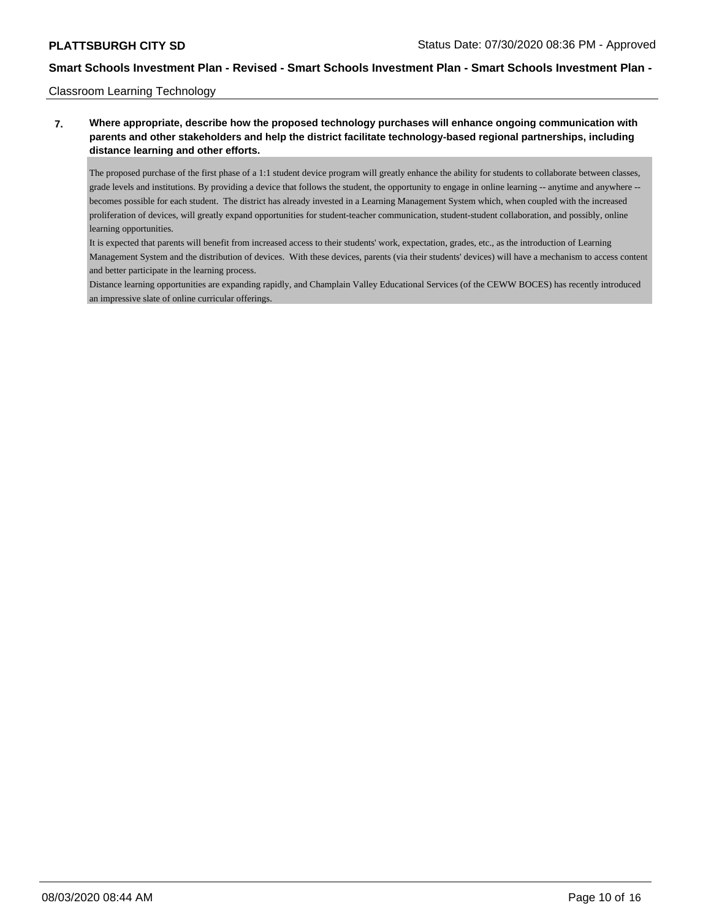## Classroom Learning Technology

# **7. Where appropriate, describe how the proposed technology purchases will enhance ongoing communication with parents and other stakeholders and help the district facilitate technology-based regional partnerships, including distance learning and other efforts.**

The proposed purchase of the first phase of a 1:1 student device program will greatly enhance the ability for students to collaborate between classes, grade levels and institutions. By providing a device that follows the student, the opportunity to engage in online learning -- anytime and anywhere - becomes possible for each student. The district has already invested in a Learning Management System which, when coupled with the increased proliferation of devices, will greatly expand opportunities for student-teacher communication, student-student collaboration, and possibly, online learning opportunities.

It is expected that parents will benefit from increased access to their students' work, expectation, grades, etc., as the introduction of Learning Management System and the distribution of devices. With these devices, parents (via their students' devices) will have a mechanism to access content and better participate in the learning process.

Distance learning opportunities are expanding rapidly, and Champlain Valley Educational Services (of the CEWW BOCES) has recently introduced an impressive slate of online curricular offerings.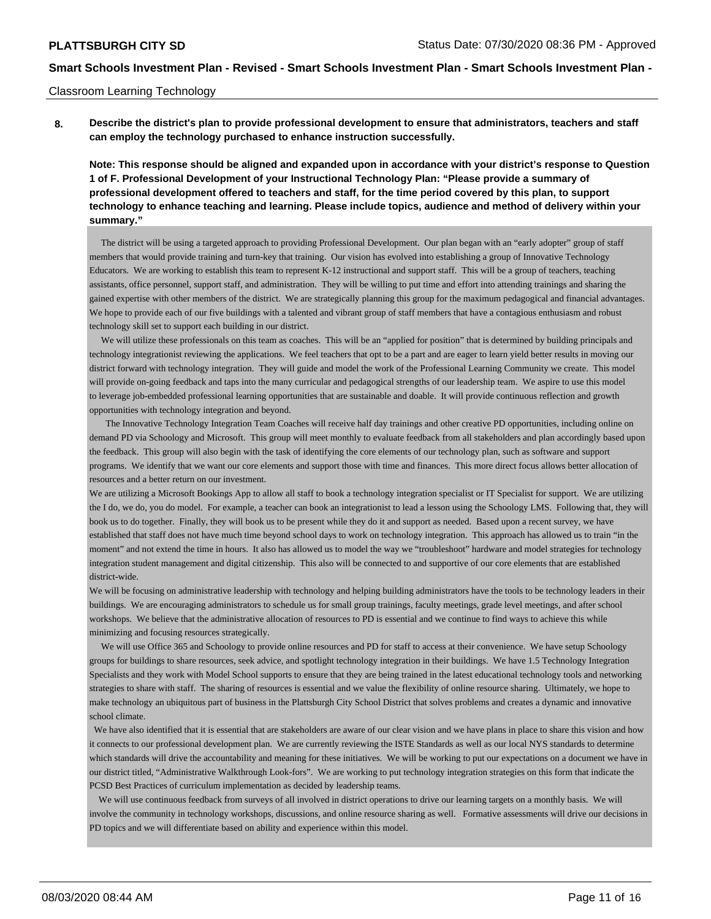#### Classroom Learning Technology

**8. Describe the district's plan to provide professional development to ensure that administrators, teachers and staff can employ the technology purchased to enhance instruction successfully.**

**Note: This response should be aligned and expanded upon in accordance with your district's response to Question 1 of F. Professional Development of your Instructional Technology Plan: "Please provide a summary of professional development offered to teachers and staff, for the time period covered by this plan, to support technology to enhance teaching and learning. Please include topics, audience and method of delivery within your summary."**

 The district will be using a targeted approach to providing Professional Development. Our plan began with an "early adopter" group of staff members that would provide training and turn-key that training. Our vision has evolved into establishing a group of Innovative Technology Educators. We are working to establish this team to represent K-12 instructional and support staff. This will be a group of teachers, teaching assistants, office personnel, support staff, and administration. They will be willing to put time and effort into attending trainings and sharing the gained expertise with other members of the district. We are strategically planning this group for the maximum pedagogical and financial advantages. We hope to provide each of our five buildings with a talented and vibrant group of staff members that have a contagious enthusiasm and robust technology skill set to support each building in our district.

 We will utilize these professionals on this team as coaches. This will be an "applied for position" that is determined by building principals and technology integrationist reviewing the applications. We feel teachers that opt to be a part and are eager to learn yield better results in moving our district forward with technology integration. They will guide and model the work of the Professional Learning Community we create. This model will provide on-going feedback and taps into the many curricular and pedagogical strengths of our leadership team. We aspire to use this model to leverage job-embedded professional learning opportunities that are sustainable and doable. It will provide continuous reflection and growth opportunities with technology integration and beyond.

 The Innovative Technology Integration Team Coaches will receive half day trainings and other creative PD opportunities, including online on demand PD via Schoology and Microsoft. This group will meet monthly to evaluate feedback from all stakeholders and plan accordingly based upon the feedback. This group will also begin with the task of identifying the core elements of our technology plan, such as software and support programs. We identify that we want our core elements and support those with time and finances. This more direct focus allows better allocation of resources and a better return on our investment.

We are utilizing a Microsoft Bookings App to allow all staff to book a technology integration specialist or IT Specialist for support. We are utilizing the I do, we do, you do model. For example, a teacher can book an integrationist to lead a lesson using the Schoology LMS. Following that, they will book us to do together. Finally, they will book us to be present while they do it and support as needed. Based upon a recent survey, we have established that staff does not have much time beyond school days to work on technology integration. This approach has allowed us to train "in the moment" and not extend the time in hours. It also has allowed us to model the way we "troubleshoot" hardware and model strategies for technology integration student management and digital citizenship. This also will be connected to and supportive of our core elements that are established district-wide.

We will be focusing on administrative leadership with technology and helping building administrators have the tools to be technology leaders in their buildings. We are encouraging administrators to schedule us for small group trainings, faculty meetings, grade level meetings, and after school workshops. We believe that the administrative allocation of resources to PD is essential and we continue to find ways to achieve this while minimizing and focusing resources strategically.

 We will use Office 365 and Schoology to provide online resources and PD for staff to access at their convenience. We have setup Schoology groups for buildings to share resources, seek advice, and spotlight technology integration in their buildings. We have 1.5 Technology Integration Specialists and they work with Model School supports to ensure that they are being trained in the latest educational technology tools and networking strategies to share with staff. The sharing of resources is essential and we value the flexibility of online resource sharing. Ultimately, we hope to make technology an ubiquitous part of business in the Plattsburgh City School District that solves problems and creates a dynamic and innovative school climate.

 We have also identified that it is essential that are stakeholders are aware of our clear vision and we have plans in place to share this vision and how it connects to our professional development plan. We are currently reviewing the ISTE Standards as well as our local NYS standards to determine which standards will drive the accountability and meaning for these initiatives. We will be working to put our expectations on a document we have in our district titled, "Administrative Walkthrough Look-fors". We are working to put technology integration strategies on this form that indicate the PCSD Best Practices of curriculum implementation as decided by leadership teams.

 We will use continuous feedback from surveys of all involved in district operations to drive our learning targets on a monthly basis. We will involve the community in technology workshops, discussions, and online resource sharing as well. Formative assessments will drive our decisions in PD topics and we will differentiate based on ability and experience within this model.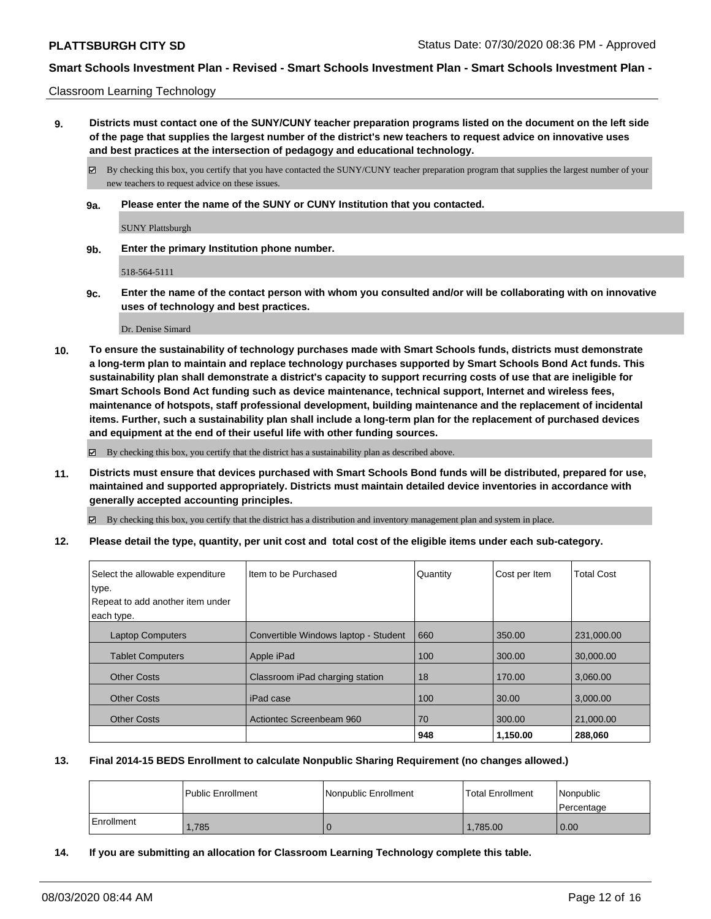Classroom Learning Technology

**9. Districts must contact one of the SUNY/CUNY teacher preparation programs listed on the document on the left side of the page that supplies the largest number of the district's new teachers to request advice on innovative uses and best practices at the intersection of pedagogy and educational technology.**

By checking this box, you certify that you have contacted the SUNY/CUNY teacher preparation program that supplies the largest number of your new teachers to request advice on these issues.

**9a. Please enter the name of the SUNY or CUNY Institution that you contacted.**

SUNY Plattsburgh

**9b. Enter the primary Institution phone number.**

518-564-5111

**9c. Enter the name of the contact person with whom you consulted and/or will be collaborating with on innovative uses of technology and best practices.**

Dr. Denise Simard

**10. To ensure the sustainability of technology purchases made with Smart Schools funds, districts must demonstrate a long-term plan to maintain and replace technology purchases supported by Smart Schools Bond Act funds. This sustainability plan shall demonstrate a district's capacity to support recurring costs of use that are ineligible for Smart Schools Bond Act funding such as device maintenance, technical support, Internet and wireless fees, maintenance of hotspots, staff professional development, building maintenance and the replacement of incidental items. Further, such a sustainability plan shall include a long-term plan for the replacement of purchased devices and equipment at the end of their useful life with other funding sources.**

By checking this box, you certify that the district has a sustainability plan as described above.

**11. Districts must ensure that devices purchased with Smart Schools Bond funds will be distributed, prepared for use, maintained and supported appropriately. Districts must maintain detailed device inventories in accordance with generally accepted accounting principles.**

By checking this box, you certify that the district has a distribution and inventory management plan and system in place.

**12. Please detail the type, quantity, per unit cost and total cost of the eligible items under each sub-category.**

| Select the allowable expenditure | Iltem to be Purchased                | Quantity | Cost per Item | <b>Total Cost</b> |
|----------------------------------|--------------------------------------|----------|---------------|-------------------|
| type.                            |                                      |          |               |                   |
| Repeat to add another item under |                                      |          |               |                   |
| each type.                       |                                      |          |               |                   |
| <b>Laptop Computers</b>          | Convertible Windows laptop - Student | 660      | 350.00        | 231,000.00        |
| <b>Tablet Computers</b>          | Apple iPad                           | 100      | 300.00        | 30,000.00         |
| <b>Other Costs</b>               | Classroom iPad charging station      | 18       | 170.00        | 3.060.00          |
| <b>Other Costs</b>               | iPad case                            | 100      | 30.00         | 3,000.00          |
| <b>Other Costs</b>               | Actiontec Screenbeam 960             | 70       | 300.00        | 21.000.00         |
|                                  |                                      | 948      | 1,150.00      | 288,060           |

## **13. Final 2014-15 BEDS Enrollment to calculate Nonpublic Sharing Requirement (no changes allowed.)**

|            | Public Enrollment | Nonpublic Enrollment | Total Enrollment | Nonpublic<br>l Percentage |
|------------|-------------------|----------------------|------------------|---------------------------|
| Enrollment | .785              |                      | 1.785.00         | 0.00                      |

**14. If you are submitting an allocation for Classroom Learning Technology complete this table.**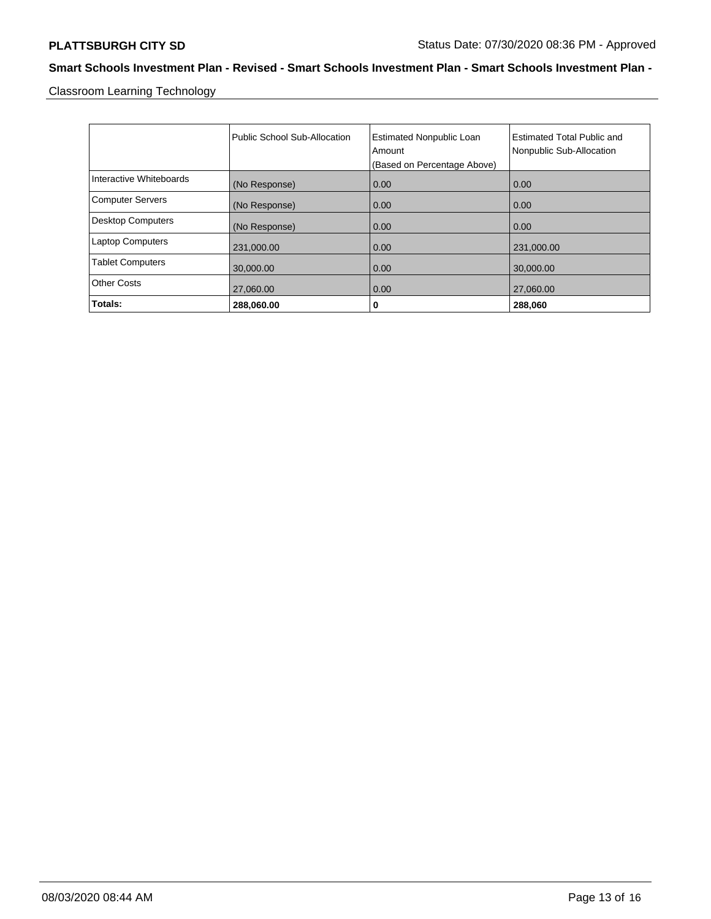Classroom Learning Technology

|                          | Public School Sub-Allocation | <b>Estimated Nonpublic Loan</b><br>Amount<br>(Based on Percentage Above) | <b>Estimated Total Public and</b><br>Nonpublic Sub-Allocation |
|--------------------------|------------------------------|--------------------------------------------------------------------------|---------------------------------------------------------------|
| Interactive Whiteboards  | (No Response)                | 0.00                                                                     | 0.00                                                          |
| <b>Computer Servers</b>  | (No Response)                | 0.00                                                                     | 0.00                                                          |
| <b>Desktop Computers</b> | (No Response)                | 0.00                                                                     | 0.00                                                          |
| <b>Laptop Computers</b>  | 231,000.00                   | 0.00                                                                     | 231,000.00                                                    |
| <b>Tablet Computers</b>  | 30,000.00                    | 0.00                                                                     | 30,000.00                                                     |
| <b>Other Costs</b>       | 27,060.00                    | 0.00                                                                     | 27,060.00                                                     |
| Totals:                  | 288,060.00                   | 0                                                                        | 288,060                                                       |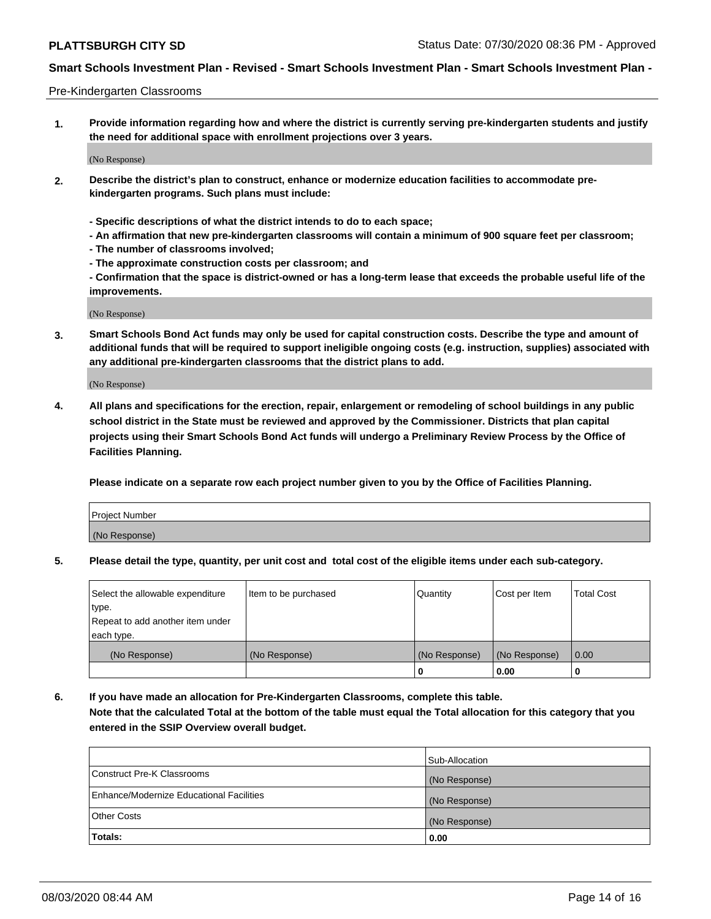#### Pre-Kindergarten Classrooms

**1. Provide information regarding how and where the district is currently serving pre-kindergarten students and justify the need for additional space with enrollment projections over 3 years.**

(No Response)

- **2. Describe the district's plan to construct, enhance or modernize education facilities to accommodate prekindergarten programs. Such plans must include:**
	- **Specific descriptions of what the district intends to do to each space;**
	- **An affirmation that new pre-kindergarten classrooms will contain a minimum of 900 square feet per classroom;**
	- **The number of classrooms involved;**
	- **The approximate construction costs per classroom; and**
	- **Confirmation that the space is district-owned or has a long-term lease that exceeds the probable useful life of the improvements.**

(No Response)

**3. Smart Schools Bond Act funds may only be used for capital construction costs. Describe the type and amount of additional funds that will be required to support ineligible ongoing costs (e.g. instruction, supplies) associated with any additional pre-kindergarten classrooms that the district plans to add.**

(No Response)

**4. All plans and specifications for the erection, repair, enlargement or remodeling of school buildings in any public school district in the State must be reviewed and approved by the Commissioner. Districts that plan capital projects using their Smart Schools Bond Act funds will undergo a Preliminary Review Process by the Office of Facilities Planning.**

**Please indicate on a separate row each project number given to you by the Office of Facilities Planning.**

| Project Number |  |
|----------------|--|
| (No Response)  |  |
|                |  |

**5. Please detail the type, quantity, per unit cost and total cost of the eligible items under each sub-category.**

| Select the allowable expenditure | Item to be purchased | Quantity      | Cost per Item | <b>Total Cost</b> |
|----------------------------------|----------------------|---------------|---------------|-------------------|
| 'type.                           |                      |               |               |                   |
| Repeat to add another item under |                      |               |               |                   |
| each type.                       |                      |               |               |                   |
| (No Response)                    | (No Response)        | (No Response) | (No Response) | 0.00              |
|                                  |                      | U             | 0.00          |                   |

**6. If you have made an allocation for Pre-Kindergarten Classrooms, complete this table. Note that the calculated Total at the bottom of the table must equal the Total allocation for this category that you entered in the SSIP Overview overall budget.**

| Totals:                                  | 0.00           |
|------------------------------------------|----------------|
| <b>Other Costs</b>                       | (No Response)  |
| Enhance/Modernize Educational Facilities | (No Response)  |
| Construct Pre-K Classrooms               | (No Response)  |
|                                          | Sub-Allocation |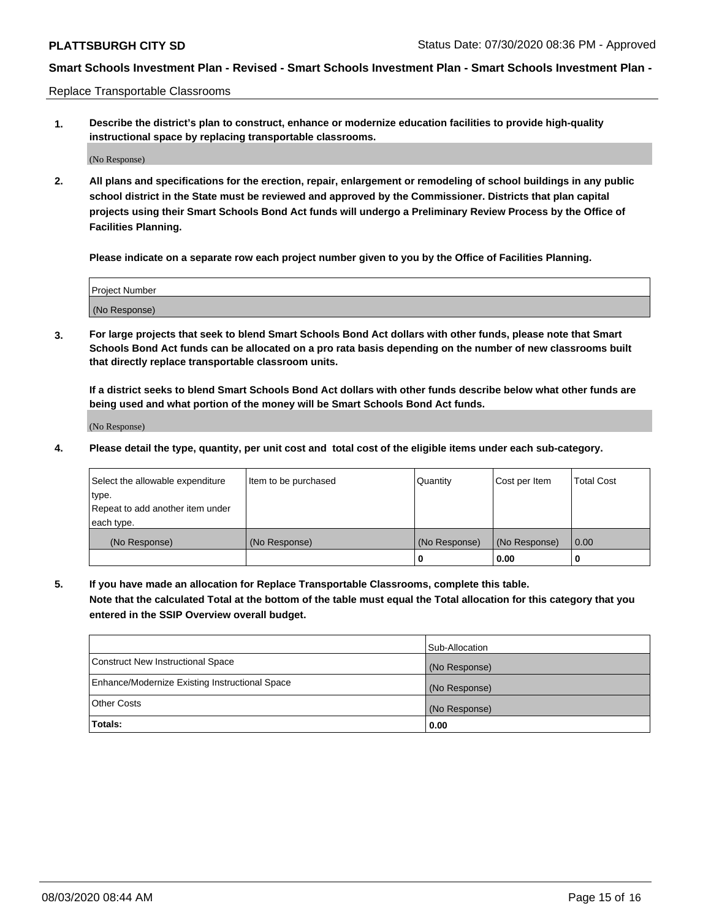Replace Transportable Classrooms

**1. Describe the district's plan to construct, enhance or modernize education facilities to provide high-quality instructional space by replacing transportable classrooms.**

(No Response)

**2. All plans and specifications for the erection, repair, enlargement or remodeling of school buildings in any public school district in the State must be reviewed and approved by the Commissioner. Districts that plan capital projects using their Smart Schools Bond Act funds will undergo a Preliminary Review Process by the Office of Facilities Planning.**

**Please indicate on a separate row each project number given to you by the Office of Facilities Planning.**

| Project Number |  |
|----------------|--|
|                |  |
|                |  |
|                |  |
|                |  |
| (No Response)  |  |
|                |  |
|                |  |
|                |  |

**3. For large projects that seek to blend Smart Schools Bond Act dollars with other funds, please note that Smart Schools Bond Act funds can be allocated on a pro rata basis depending on the number of new classrooms built that directly replace transportable classroom units.**

**If a district seeks to blend Smart Schools Bond Act dollars with other funds describe below what other funds are being used and what portion of the money will be Smart Schools Bond Act funds.**

(No Response)

**4. Please detail the type, quantity, per unit cost and total cost of the eligible items under each sub-category.**

| Select the allowable expenditure | Item to be purchased | Quantity      | Cost per Item | Total Cost |
|----------------------------------|----------------------|---------------|---------------|------------|
| ∣type.                           |                      |               |               |            |
| Repeat to add another item under |                      |               |               |            |
| each type.                       |                      |               |               |            |
| (No Response)                    | (No Response)        | (No Response) | (No Response) | 0.00       |
|                                  |                      | u             | 0.00          |            |

**5. If you have made an allocation for Replace Transportable Classrooms, complete this table. Note that the calculated Total at the bottom of the table must equal the Total allocation for this category that you entered in the SSIP Overview overall budget.**

|                                                | Sub-Allocation |
|------------------------------------------------|----------------|
| Construct New Instructional Space              | (No Response)  |
| Enhance/Modernize Existing Instructional Space | (No Response)  |
| Other Costs                                    | (No Response)  |
| Totals:                                        | 0.00           |